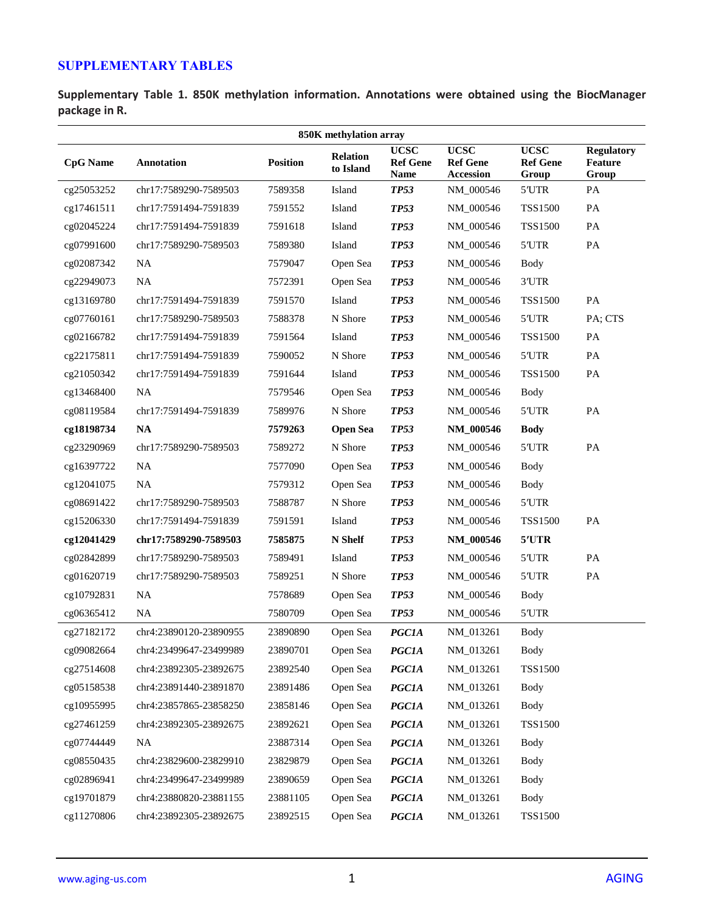## **SUPPLEMENTARY TABLES**

**Supplementary Table 1. 850K methylation information. Annotations were obtained using the BiocManager package in R.**

| 850K methylation array |                        |                 |                              |                                               |                                                    |                                         |                                              |
|------------------------|------------------------|-----------------|------------------------------|-----------------------------------------------|----------------------------------------------------|-----------------------------------------|----------------------------------------------|
| <b>CpG</b> Name        | <b>Annotation</b>      | <b>Position</b> | <b>Relation</b><br>to Island | <b>UCSC</b><br><b>Ref Gene</b><br><b>Name</b> | <b>UCSC</b><br><b>Ref Gene</b><br><b>Accession</b> | <b>UCSC</b><br><b>Ref Gene</b><br>Group | <b>Regulatory</b><br><b>Feature</b><br>Group |
| cg25053252             | chr17:7589290-7589503  | 7589358         | Island                       | <b>TP53</b>                                   | NM_000546                                          | 5'UTR                                   | PA                                           |
| cg17461511             | chr17:7591494-7591839  | 7591552         | Island                       | <b>TP53</b>                                   | NM_000546                                          | <b>TSS1500</b>                          | PA                                           |
| cg02045224             | chr17:7591494-7591839  | 7591618         | Island                       | <b>TP53</b>                                   | NM_000546                                          | <b>TSS1500</b>                          | PA                                           |
| cg07991600             | chr17:7589290-7589503  | 7589380         | Island                       | <b>TP53</b>                                   | NM_000546                                          | 5'UTR                                   | PA                                           |
| cg02087342             | <b>NA</b>              | 7579047         | Open Sea                     | <b>TP53</b>                                   | NM_000546                                          | Body                                    |                                              |
| cg22949073             | <b>NA</b>              | 7572391         | Open Sea                     | <b>TP53</b>                                   | NM_000546                                          | 3'UTR                                   |                                              |
| cg13169780             | chr17:7591494-7591839  | 7591570         | Island                       | <b>TP53</b>                                   | NM_000546                                          | <b>TSS1500</b>                          | PA                                           |
| cg07760161             | chr17:7589290-7589503  | 7588378         | N Shore                      | <b>TP53</b>                                   | NM_000546                                          | 5'UTR                                   | PA; CTS                                      |
| cg02166782             | chr17:7591494-7591839  | 7591564         | Island                       | <b>TP53</b>                                   | NM_000546                                          | <b>TSS1500</b>                          | PA                                           |
| cg22175811             | chr17:7591494-7591839  | 7590052         | N Shore                      | <b>TP53</b>                                   | NM 000546                                          | 5'UTR                                   | PA                                           |
| cg21050342             | chr17:7591494-7591839  | 7591644         | Island                       | <b>TP53</b>                                   | NM_000546                                          | <b>TSS1500</b>                          | PA                                           |
| cg13468400             | <b>NA</b>              | 7579546         | Open Sea                     | <b>TP53</b>                                   | NM_000546                                          | Body                                    |                                              |
| cg08119584             | chr17:7591494-7591839  | 7589976         | N Shore                      | <b>TP53</b>                                   | NM_000546                                          | 5'UTR                                   | PA                                           |
| cg18198734             | <b>NA</b>              | 7579263         | <b>Open Sea</b>              | <b>TP53</b>                                   | NM_000546                                          | <b>Body</b>                             |                                              |
| cg23290969             | chr17:7589290-7589503  | 7589272         | N Shore                      | <b>TP53</b>                                   | NM_000546                                          | 5'UTR                                   | PA                                           |
| cg16397722             | <b>NA</b>              | 7577090         | Open Sea                     | <b>TP53</b>                                   | NM_000546                                          | <b>Body</b>                             |                                              |
| cg12041075             | <b>NA</b>              | 7579312         | Open Sea                     | <b>TP53</b>                                   | NM_000546                                          | <b>Body</b>                             |                                              |
| cg08691422             | chr17:7589290-7589503  | 7588787         | N Shore                      | <b>TP53</b>                                   | NM_000546                                          | 5'UTR                                   |                                              |
| cg15206330             | chr17:7591494-7591839  | 7591591         | Island                       | <b>TP53</b>                                   | NM_000546                                          | <b>TSS1500</b>                          | PA                                           |
| cg12041429             | chr17:7589290-7589503  | 7585875         | N Shelf                      | <b>TP53</b>                                   | NM_000546                                          | 5'UTR                                   |                                              |
| cg02842899             | chr17:7589290-7589503  | 7589491         | Island                       | <b>TP53</b>                                   | NM_000546                                          | 5'UTR                                   | PA                                           |
| cg01620719             | chr17:7589290-7589503  | 7589251         | N Shore                      | <b>TP53</b>                                   | NM_000546                                          | 5'UTR                                   | PA                                           |
| cg10792831             | <b>NA</b>              | 7578689         | Open Sea                     | <b>TP53</b>                                   | NM_000546                                          | <b>Body</b>                             |                                              |
| cg06365412             | <b>NA</b>              | 7580709         | Open Sea                     | <b>TP53</b>                                   | NM_000546                                          | 5'UTR                                   |                                              |
| cg27182172             | chr4:23890120-23890955 | 23890890        | Open Sea                     | <b>PGC1A</b>                                  | NM_013261                                          | Body                                    |                                              |
| cg09082664             | chr4:23499647-23499989 | 23890701        | Open Sea                     | <b>PGC1A</b>                                  | NM_013261                                          | <b>Body</b>                             |                                              |
| cg27514608             | chr4:23892305-23892675 | 23892540        | Open Sea                     | <b>PGC1A</b>                                  | NM_013261                                          | <b>TSS1500</b>                          |                                              |
| cg05158538             | chr4:23891440-23891870 | 23891486        | Open Sea                     | <b>PGC1A</b>                                  | NM_013261                                          | <b>Body</b>                             |                                              |
| cg10955995             | chr4:23857865-23858250 | 23858146        | Open Sea                     | <b>PGC1A</b>                                  | NM_013261                                          | <b>Body</b>                             |                                              |
| cg27461259             | chr4:23892305-23892675 | 23892621        | Open Sea                     | <b>PGC1A</b>                                  | NM_013261                                          | <b>TSS1500</b>                          |                                              |
| cg07744449             | <b>NA</b>              | 23887314        | Open Sea                     | <b>PGC1A</b>                                  | NM_013261                                          | <b>Body</b>                             |                                              |
| cg08550435             | chr4:23829600-23829910 | 23829879        | Open Sea                     | <b>PGC1A</b>                                  | NM_013261                                          | <b>Body</b>                             |                                              |
| cg02896941             | chr4:23499647-23499989 | 23890659        | Open Sea                     | <b>PGC1A</b>                                  | NM_013261                                          | <b>Body</b>                             |                                              |
| cg19701879             | chr4:23880820-23881155 | 23881105        | Open Sea                     | <b>PGC1A</b>                                  | NM_013261                                          | <b>Body</b>                             |                                              |
| cg11270806             | chr4:23892305-23892675 | 23892515        | Open Sea                     | <b>PGC1A</b>                                  | NM_013261                                          | <b>TSS1500</b>                          |                                              |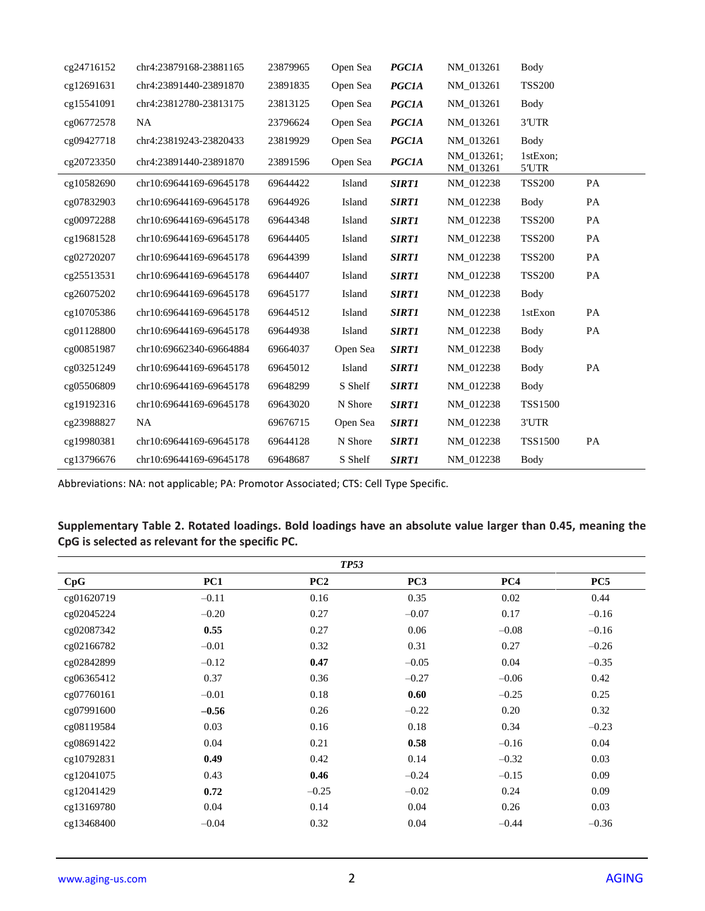| cg24716152 | chr4:23879168-23881165  | 23879965 | Open Sea | <b>PGC1A</b> | NM 013261               | Body              |    |
|------------|-------------------------|----------|----------|--------------|-------------------------|-------------------|----|
| cg12691631 | chr4:23891440-23891870  | 23891835 | Open Sea | <b>PGC1A</b> | NM 013261               | <b>TSS200</b>     |    |
| cg15541091 | chr4:23812780-23813175  | 23813125 | Open Sea | <b>PGC1A</b> | NM 013261               | Body              |    |
| cg06772578 | <b>NA</b>               | 23796624 | Open Sea | <b>PGC1A</b> | NM 013261               | 3'UTR             |    |
| cg09427718 | chr4:23819243-23820433  | 23819929 | Open Sea | <b>PGC1A</b> | NM 013261               | Body              |    |
| cg20723350 | chr4:23891440-23891870  | 23891596 | Open Sea | <b>PGC1A</b> | NM 013261;<br>NM_013261 | 1stExon:<br>5'UTR |    |
| cg10582690 | chr10:69644169-69645178 | 69644422 | Island   | <b>SIRT1</b> | NM 012238               | <b>TSS200</b>     | PA |
| cg07832903 | chr10:69644169-69645178 | 69644926 | Island   | <b>SIRT1</b> | NM 012238               | Body              | PA |
| cg00972288 | chr10:69644169-69645178 | 69644348 | Island   | <b>SIRT1</b> | NM 012238               | <b>TSS200</b>     | PA |
| cg19681528 | chr10:69644169-69645178 | 69644405 | Island   | <b>SIRT1</b> | NM 012238               | <b>TSS200</b>     | PA |
| cg02720207 | chr10:69644169-69645178 | 69644399 | Island   | <b>SIRT1</b> | NM_012238               | <b>TSS200</b>     | PA |
| cg25513531 | chr10:69644169-69645178 | 69644407 | Island   | <b>SIRT1</b> | NM_012238               | <b>TSS200</b>     | PA |
| cg26075202 | chr10:69644169-69645178 | 69645177 | Island   | <b>SIRT1</b> | NM 012238               | Body              |    |
| cg10705386 | chr10:69644169-69645178 | 69644512 | Island   | <b>SIRT1</b> | NM_012238               | 1stExon           | PA |
| cg01128800 | chr10:69644169-69645178 | 69644938 | Island   | <b>SIRT1</b> | NM_012238               | Body              | PA |
| cg00851987 | chr10:69662340-69664884 | 69664037 | Open Sea | <b>SIRT1</b> | NM_012238               | Body              |    |
| cg03251249 | chr10:69644169-69645178 | 69645012 | Island   | <b>SIRT1</b> | NM_012238               | Body              | PA |
| cg05506809 | chr10:69644169-69645178 | 69648299 | S Shelf  | <b>SIRT1</b> | NM_012238               | Body              |    |
| cg19192316 | chr10:69644169-69645178 | 69643020 | N Shore  | <b>SIRT1</b> | NM_012238               | <b>TSS1500</b>    |    |
| cg23988827 | <b>NA</b>               | 69676715 | Open Sea | <b>SIRT1</b> | NM_012238               | 3'UTR             |    |
| cg19980381 | chr10:69644169-69645178 | 69644128 | N Shore  | <b>SIRT1</b> | NM_012238               | <b>TSS1500</b>    | PA |
| cg13796676 | chr10:69644169-69645178 | 69648687 | S Shelf  | <b>SIRT1</b> | NM 012238               | Body              |    |

Abbreviations: NA: not applicable; PA: Promotor Associated; CTS: Cell Type Specific.

## **Supplementary Table 2. Rotated loadings. Bold loadings have an absolute value larger than 0.45, meaning the CpG is selected as relevant for the specific PC.**

| <b>TP53</b> |         |         |                 |         |         |
|-------------|---------|---------|-----------------|---------|---------|
| CpG         | PC1     | PC2     | PC <sub>3</sub> | PC4     | PC5     |
| cg01620719  | $-0.11$ | 0.16    | 0.35            | 0.02    | 0.44    |
| cg02045224  | $-0.20$ | 0.27    | $-0.07$         | 0.17    | $-0.16$ |
| cg02087342  | 0.55    | 0.27    | 0.06            | $-0.08$ | $-0.16$ |
| cg02166782  | $-0.01$ | 0.32    | 0.31            | 0.27    | $-0.26$ |
| cg02842899  | $-0.12$ | 0.47    | $-0.05$         | 0.04    | $-0.35$ |
| cg06365412  | 0.37    | 0.36    | $-0.27$         | $-0.06$ | 0.42    |
| cg07760161  | $-0.01$ | 0.18    | 0.60            | $-0.25$ | 0.25    |
| cg07991600  | $-0.56$ | 0.26    | $-0.22$         | 0.20    | 0.32    |
| cg08119584  | 0.03    | 0.16    | 0.18            | 0.34    | $-0.23$ |
| cg08691422  | 0.04    | 0.21    | 0.58            | $-0.16$ | 0.04    |
| cg10792831  | 0.49    | 0.42    | 0.14            | $-0.32$ | 0.03    |
| cg12041075  | 0.43    | 0.46    | $-0.24$         | $-0.15$ | 0.09    |
| cg12041429  | 0.72    | $-0.25$ | $-0.02$         | 0.24    | 0.09    |
| cg13169780  | 0.04    | 0.14    | 0.04            | 0.26    | 0.03    |
| cg13468400  | $-0.04$ | 0.32    | 0.04            | $-0.44$ | $-0.36$ |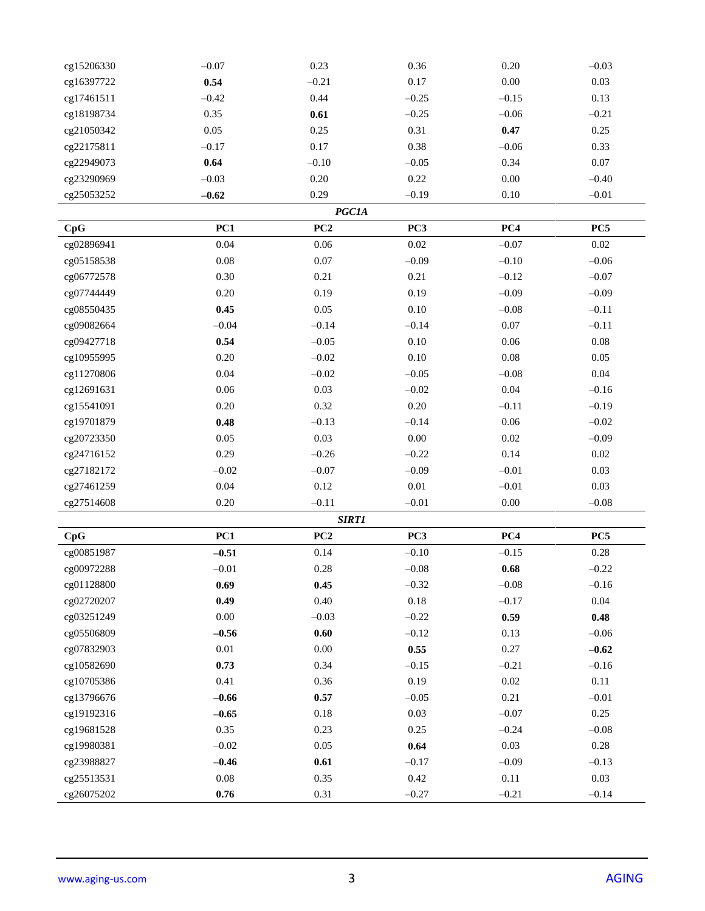| cg15206330 | $-0.07$  | 0.23         | 0.36            | 0.20       | $-0.03$  |
|------------|----------|--------------|-----------------|------------|----------|
| cg16397722 | 0.54     | $-0.21$      | $0.17\,$        | $0.00\,$   | 0.03     |
| cg17461511 | $-0.42$  | 0.44         | $-0.25$         | $-0.15$    | 0.13     |
| cg18198734 | 0.35     | 0.61         | $-0.25$         | $-0.06$    | $-0.21$  |
| cg21050342 | 0.05     | 0.25         | 0.31            | 0.47       | 0.25     |
| cg22175811 | $-0.17$  | 0.17         | 0.38            | $-0.06$    | 0.33     |
| cg22949073 | 0.64     | $-0.10$      | $-0.05$         | 0.34       | 0.07     |
| cg23290969 | $-0.03$  | $0.20\,$     | 0.22            | $0.00\,$   | $-0.40$  |
| cg25053252 | $-0.62$  | 0.29         | $-0.19$         | 0.10       | $-0.01$  |
|            |          | <b>PGC1A</b> |                 |            |          |
| CpG        | PC1      | PC2          | PC <sub>3</sub> | PC4        | PC5      |
| cg02896941 | 0.04     | 0.06         | 0.02            | $-0.07$    | $0.02\,$ |
| cg05158538 | $0.08\,$ | $0.07\,$     | $-0.09$         | $-0.10$    | $-0.06$  |
| cg06772578 | 0.30     | 0.21         | 0.21            | $-0.12$    | $-0.07$  |
| cg07744449 | 0.20     | 0.19         | 0.19            | $-0.09$    | $-0.09$  |
| cg08550435 | 0.45     | $0.05\,$     | $0.10\,$        | $-0.08$    | $-0.11$  |
| cg09082664 | $-0.04$  | $-0.14$      | $-0.14$         | $0.07\,$   | $-0.11$  |
| cg09427718 | 0.54     | $-0.05$      | 0.10            | 0.06       | 0.08     |
| cg10955995 | $0.20\,$ | $-0.02$      | $0.10\,$        | $0.08\,$   | 0.05     |
| cg11270806 | 0.04     | $-0.02$      | $-0.05$         | $-0.08$    | 0.04     |
| cg12691631 | 0.06     | 0.03         | $-0.02$         | 0.04       | $-0.16$  |
| cg15541091 | $0.20\,$ | 0.32         | $0.20\,$        | $-0.11$    | $-0.19$  |
| cg19701879 | 0.48     | $-0.13$      | $-0.14$         | 0.06       | $-0.02$  |
| cg20723350 | 0.05     | 0.03         | $0.00\,$        | 0.02       | $-0.09$  |
| cg24716152 | 0.29     | $-0.26$      | $-0.22$         | 0.14       | $0.02\,$ |
| cg27182172 | $-0.02$  | $-0.07$      | $-0.09$         | $-0.01$    | 0.03     |
| cg27461259 | 0.04     | 0.12         | $0.01\,$        | $-0.01$    | 0.03     |
| cg27514608 | $0.20\,$ | $-0.11$      | $-0.01$         | $0.00\,$   | $-0.08$  |
|            |          | <b>SIRT1</b> |                 |            |          |
| CpG        | PC1      | PC2          | PC <sub>3</sub> | PC4        | PC5      |
| cg00851987 | $-0.51$  | 0.14         | $-0.10$         | $-0.15$    | 0.28     |
| cg00972288 | $-0.01$  | $0.28\,$     | $-0.08$         | $\bf 0.68$ | $-0.22$  |
| cg01128800 | 0.69     | 0.45         | $-0.32$         | $-0.08$    | $-0.16$  |
| cg02720207 | 0.49     | 0.40         | $0.18\,$        | $-0.17$    | $0.04\,$ |
| cg03251249 | $0.00\,$ | $-0.03$      | $-0.22$         | 0.59       | 0.48     |
| cg05506809 | $-0.56$  | 0.60         | $-0.12$         | 0.13       | $-0.06$  |
| cg07832903 | $0.01\,$ | $0.00\,$     | 0.55            | 0.27       | $-0.62$  |
| cg10582690 | 0.73     | 0.34         | $-0.15$         | $-0.21$    | $-0.16$  |
| cg10705386 | 0.41     | 0.36         | 0.19            | $0.02\,$   | 0.11     |
| cg13796676 | $-0.66$  | 0.57         | $-0.05$         | 0.21       | $-0.01$  |
| cg19192316 | $-0.65$  | $0.18\,$     | 0.03            | $-0.07$    | 0.25     |
| cg19681528 | 0.35     | 0.23         | 0.25            | $-0.24$    | $-0.08$  |
| cg19980381 | $-0.02$  | 0.05         | 0.64            | 0.03       | $0.28\,$ |
| cg23988827 | $-0.46$  | 0.61         | $-0.17$         | $-0.09$    | $-0.13$  |
| cg25513531 | $0.08\,$ | 0.35         | 0.42            | 0.11       | 0.03     |
| cg26075202 | $0.76\,$ | 0.31         | $-0.27$         | $-0.21$    | $-0.14$  |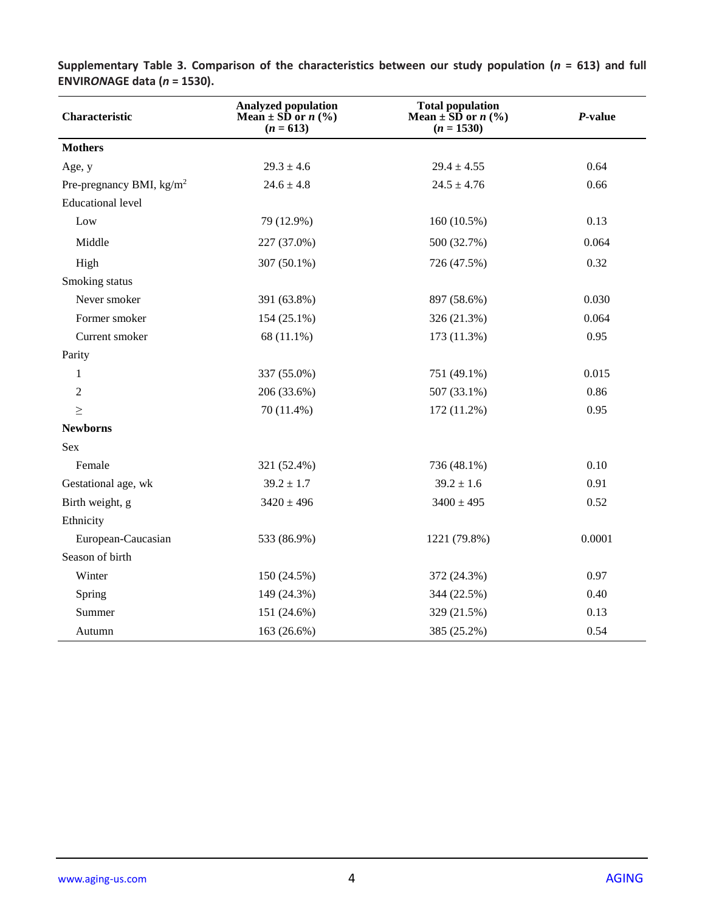| Characteristic                     | <b>Analyzed population</b><br>Mean $\pm$ SD or <i>n</i> (%)<br>$(n = 613)$ | <b>Total population</b><br>Mean $\pm$ SD or <i>n</i> (%)<br>$(n = 1530)$ | P-value |  |
|------------------------------------|----------------------------------------------------------------------------|--------------------------------------------------------------------------|---------|--|
| <b>Mothers</b>                     |                                                                            |                                                                          |         |  |
| Age, y                             | $29.3 \pm 4.6$                                                             | $29.4 \pm 4.55$                                                          | 0.64    |  |
| Pre-pregnancy BMI, $\text{kg/m}^2$ | $24.6 \pm 4.8$                                                             | $24.5 \pm 4.76$                                                          | 0.66    |  |
| <b>Educational level</b>           |                                                                            |                                                                          |         |  |
| Low                                | 79 (12.9%)                                                                 | 160 (10.5%)                                                              | 0.13    |  |
| Middle                             | 227 (37.0%)                                                                | 500 (32.7%)                                                              | 0.064   |  |
| High                               | 307 (50.1%)                                                                | 726 (47.5%)                                                              | 0.32    |  |
| Smoking status                     |                                                                            |                                                                          |         |  |
| Never smoker                       | 391 (63.8%)                                                                | 897 (58.6%)                                                              | 0.030   |  |
| Former smoker                      | 154 (25.1%)                                                                | 326 (21.3%)                                                              | 0.064   |  |
| Current smoker                     | 68 (11.1%)                                                                 | 173 (11.3%)                                                              | 0.95    |  |
| Parity                             |                                                                            |                                                                          |         |  |
| 1                                  | 337 (55.0%)                                                                | 751 (49.1%)                                                              | 0.015   |  |
| $\overline{2}$                     | 206 (33.6%)                                                                | 507 (33.1%)                                                              | 0.86    |  |
| $\geq$                             | 70 (11.4%)                                                                 | 172 (11.2%)                                                              | 0.95    |  |
| <b>Newborns</b>                    |                                                                            |                                                                          |         |  |
| Sex                                |                                                                            |                                                                          |         |  |
| Female                             | 321 (52.4%)                                                                | 736 (48.1%)                                                              | 0.10    |  |
| Gestational age, wk                | $39.2 \pm 1.7$                                                             | $39.2 \pm 1.6$                                                           | 0.91    |  |
| Birth weight, g                    | $3420 \pm 496$                                                             | $3400 \pm 495$                                                           | 0.52    |  |
| Ethnicity                          |                                                                            |                                                                          |         |  |
| European-Caucasian                 | 533 (86.9%)                                                                | 1221 (79.8%)                                                             | 0.0001  |  |
| Season of birth                    |                                                                            |                                                                          |         |  |
| Winter                             | 150 (24.5%)                                                                | 372 (24.3%)                                                              | 0.97    |  |
| Spring                             | 149 (24.3%)                                                                | 344 (22.5%)                                                              | 0.40    |  |
| Summer                             | 151 (24.6%)                                                                | 329 (21.5%)                                                              | 0.13    |  |
| Autumn                             | 163 (26.6%)                                                                | 385 (25.2%)                                                              | 0.54    |  |

**Supplementary Table 3. Comparison of the characteristics between our study population (***n* **= 613) and full ENVIR***ON***AGE data (***n* **= 1530).**